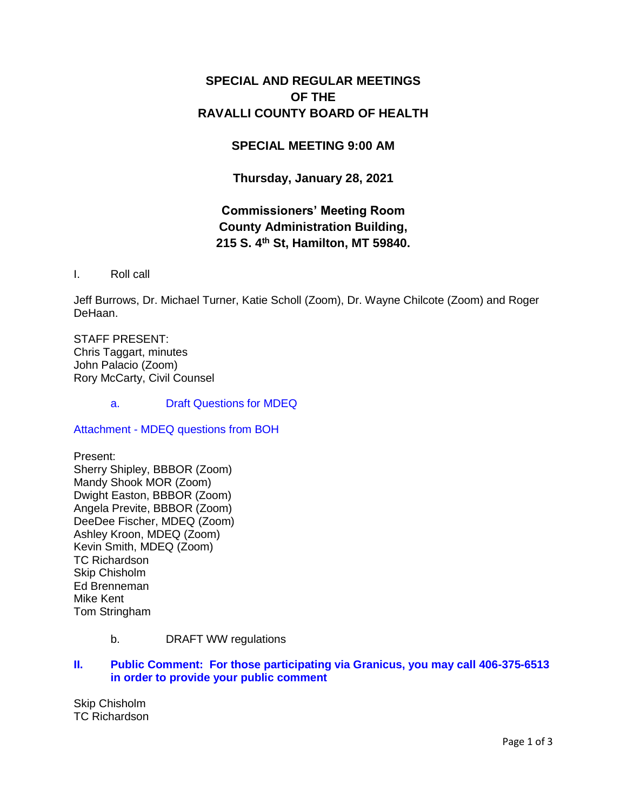# **SPECIAL AND REGULAR MEETINGS OF THE RAVALLI COUNTY BOARD OF HEALTH**

## **SPECIAL MEETING 9:00 AM**

**Thursday, January 28, 2021**

# **Commissioners' Meeting Room County Administration Building, 215 S. 4th St, Hamilton, MT 59840.**

I. Roll call

Jeff Burrows, Dr. Michael Turner, Katie Scholl (Zoom), Dr. Wayne Chilcote (Zoom) and Roger DeHaan.

STAFF PRESENT: Chris Taggart, minutes John Palacio (Zoom) Rory McCarty, Civil Counsel

a. [Draft Questions for MDEQ](http://ravalli-mt.granicus.com/wordlinkreceiver.php?clip_id=e5b1c954-e93b-4530-80cc-e85090a7058a&meta_id=4f8f674a-6567-466b-823d-da78fbd2471b&time=71)

Attachment - [MDEQ questions from BOH](http://ravalli-mt.granicus.com/DocumentViewer.php?file=ravalli-mt_9df223d54595348104eadd7c0d69ecef.pdf)

Present: Sherry Shipley, BBBOR (Zoom) Mandy Shook MOR (Zoom) Dwight Easton, BBBOR (Zoom) Angela Previte, BBBOR (Zoom) DeeDee Fischer, MDEQ (Zoom) Ashley Kroon, MDEQ (Zoom) Kevin Smith, MDEQ (Zoom) TC Richardson Skip Chisholm Ed Brenneman Mike Kent Tom Stringham

b. DRAFT WW regulations

### **II. [Public Comment: For those participating via Granicus, you may call 406-375-6513](http://ravalli-mt.granicus.com/wordlinkreceiver.php?clip_id=e5b1c954-e93b-4530-80cc-e85090a7058a&meta_id=0a004bf3-193c-4420-bc13-2770649245e9&time=4205)  [in order to provide your public comment](http://ravalli-mt.granicus.com/wordlinkreceiver.php?clip_id=e5b1c954-e93b-4530-80cc-e85090a7058a&meta_id=0a004bf3-193c-4420-bc13-2770649245e9&time=4205)**

Skip Chisholm TC Richardson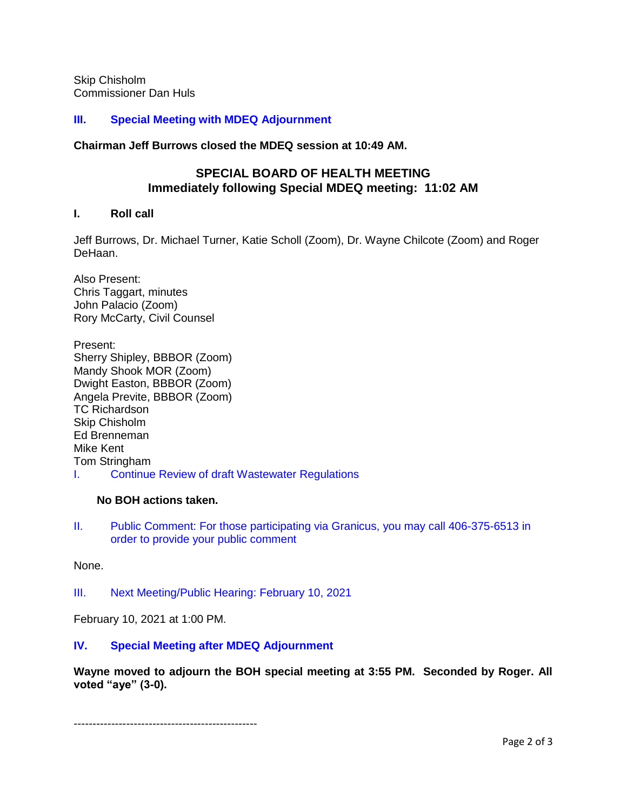Skip Chisholm Commissioner Dan Huls

#### **[III. Special Meeting with MDEQ Adjournment](http://ravalli-mt.granicus.com/wordlinkreceiver.php?clip_id=e5b1c954-e93b-4530-80cc-e85090a7058a&meta_id=d3979fc5-a1ce-4010-87b9-9ec9c83f5fa1&time=6368)**

**Chairman Jeff Burrows closed the MDEQ session at 10:49 AM.**

### **SPECIAL BOARD OF HEALTH MEETING Immediately following Special MDEQ meeting: 11:02 AM**

#### **I. Roll call**

Jeff Burrows, Dr. Michael Turner, Katie Scholl (Zoom), Dr. Wayne Chilcote (Zoom) and Roger DeHaan.

Also Present: Chris Taggart, minutes John Palacio (Zoom) Rory McCarty, Civil Counsel

Present: Sherry Shipley, BBBOR (Zoom) Mandy Shook MOR (Zoom) Dwight Easton, BBBOR (Zoom) Angela Previte, BBBOR (Zoom) TC Richardson Skip Chisholm Ed Brenneman Mike Kent Tom Stringham I. [Continue Review of draft Wastewater Regulations](http://ravalli-mt.granicus.com/wordlinkreceiver.php?clip_id=e5b1c954-e93b-4530-80cc-e85090a7058a&meta_id=3c46b27c-993b-4882-ae49-29883d0e1adb&time=6401)

#### **No BOH actions taken.**

II. [Public Comment: For those participating via Granicus, you may call 406-375-6513 in](http://ravalli-mt.granicus.com/wordlinkreceiver.php?clip_id=e5b1c954-e93b-4530-80cc-e85090a7058a&meta_id=ec03b0cc-e6fb-4fea-8f8d-f1a29714ae19&time=22088)  [order to provide your public comment](http://ravalli-mt.granicus.com/wordlinkreceiver.php?clip_id=e5b1c954-e93b-4530-80cc-e85090a7058a&meta_id=ec03b0cc-e6fb-4fea-8f8d-f1a29714ae19&time=22088)

None.

III. [Next Meeting/Public Hearing: February 10, 2021](http://ravalli-mt.granicus.com/wordlinkreceiver.php?clip_id=e5b1c954-e93b-4530-80cc-e85090a7058a&meta_id=a7290df6-b3fc-41d9-9f65-b8e5a6687986&time=22097)

February 10, 2021 at 1:00 PM.

### **IV. [Special Meeting after MDEQ Adjournment](http://ravalli-mt.granicus.com/wordlinkreceiver.php?clip_id=e5b1c954-e93b-4530-80cc-e85090a7058a&meta_id=8ab3a69a-de2c-4a1b-aa3d-bcc9ad80086e&time=22146)**

**Wayne moved to adjourn the BOH special meeting at 3:55 PM. Seconded by Roger. All voted "aye" (3-0).**

-------------------------------------------------